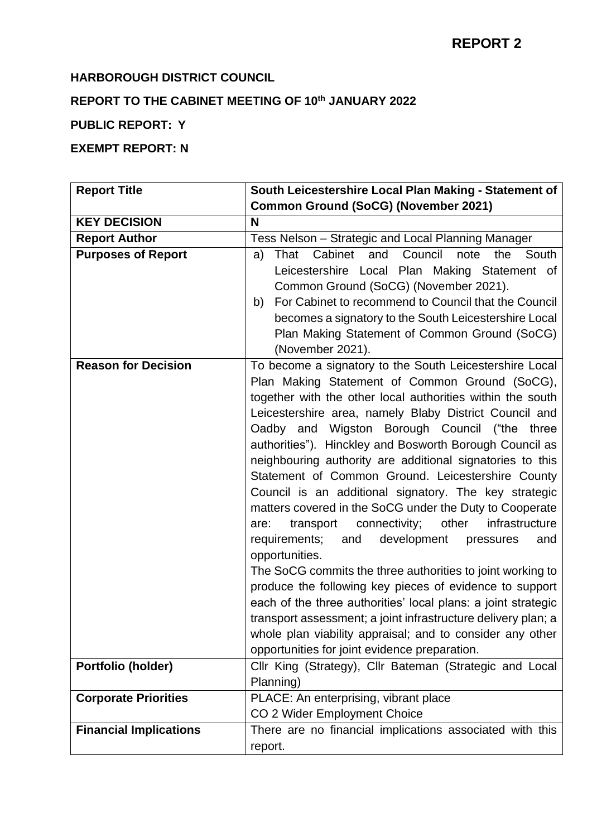### **HARBOROUGH DISTRICT COUNCIL**

# **REPORT TO THE CABINET MEETING OF 10th JANUARY 2022**

## **PUBLIC REPORT: Y**

## **EXEMPT REPORT: N**

| <b>Report Title</b>           | South Leicestershire Local Plan Making - Statement of                                                                                                                                                                                                                                                                                                                                                                                                                                                                                                                                                                                                                                                                                                                                                                                                                                                                                                                                                                                                                                                      |
|-------------------------------|------------------------------------------------------------------------------------------------------------------------------------------------------------------------------------------------------------------------------------------------------------------------------------------------------------------------------------------------------------------------------------------------------------------------------------------------------------------------------------------------------------------------------------------------------------------------------------------------------------------------------------------------------------------------------------------------------------------------------------------------------------------------------------------------------------------------------------------------------------------------------------------------------------------------------------------------------------------------------------------------------------------------------------------------------------------------------------------------------------|
|                               | <b>Common Ground (SoCG) (November 2021)</b>                                                                                                                                                                                                                                                                                                                                                                                                                                                                                                                                                                                                                                                                                                                                                                                                                                                                                                                                                                                                                                                                |
| <b>KEY DECISION</b>           | N                                                                                                                                                                                                                                                                                                                                                                                                                                                                                                                                                                                                                                                                                                                                                                                                                                                                                                                                                                                                                                                                                                          |
| <b>Report Author</b>          | Tess Nelson - Strategic and Local Planning Manager                                                                                                                                                                                                                                                                                                                                                                                                                                                                                                                                                                                                                                                                                                                                                                                                                                                                                                                                                                                                                                                         |
| <b>Purposes of Report</b>     | Cabinet<br>Council<br>South<br>That<br>and<br>note<br>the<br>a)<br>Leicestershire Local Plan Making Statement of<br>Common Ground (SoCG) (November 2021).<br>For Cabinet to recommend to Council that the Council<br>b)<br>becomes a signatory to the South Leicestershire Local<br>Plan Making Statement of Common Ground (SoCG)<br>(November 2021).                                                                                                                                                                                                                                                                                                                                                                                                                                                                                                                                                                                                                                                                                                                                                      |
| <b>Reason for Decision</b>    | To become a signatory to the South Leicestershire Local<br>Plan Making Statement of Common Ground (SoCG),<br>together with the other local authorities within the south<br>Leicestershire area, namely Blaby District Council and<br>Oadby and Wigston Borough Council ("the three<br>authorities"). Hinckley and Bosworth Borough Council as<br>neighbouring authority are additional signatories to this<br>Statement of Common Ground. Leicestershire County<br>Council is an additional signatory. The key strategic<br>matters covered in the SoCG under the Duty to Cooperate<br>connectivity;<br>other<br>infrastructure<br>transport<br>are:<br>development<br>requirements;<br>and<br>pressures<br>and<br>opportunities.<br>The SoCG commits the three authorities to joint working to<br>produce the following key pieces of evidence to support<br>each of the three authorities' local plans: a joint strategic<br>transport assessment; a joint infrastructure delivery plan; a<br>whole plan viability appraisal; and to consider any other<br>opportunities for joint evidence preparation. |
| Portfolio (holder)            | Cllr King (Strategy), Cllr Bateman (Strategic and Local<br>Planning)                                                                                                                                                                                                                                                                                                                                                                                                                                                                                                                                                                                                                                                                                                                                                                                                                                                                                                                                                                                                                                       |
| <b>Corporate Priorities</b>   | PLACE: An enterprising, vibrant place<br>CO 2 Wider Employment Choice                                                                                                                                                                                                                                                                                                                                                                                                                                                                                                                                                                                                                                                                                                                                                                                                                                                                                                                                                                                                                                      |
| <b>Financial Implications</b> | There are no financial implications associated with this<br>report.                                                                                                                                                                                                                                                                                                                                                                                                                                                                                                                                                                                                                                                                                                                                                                                                                                                                                                                                                                                                                                        |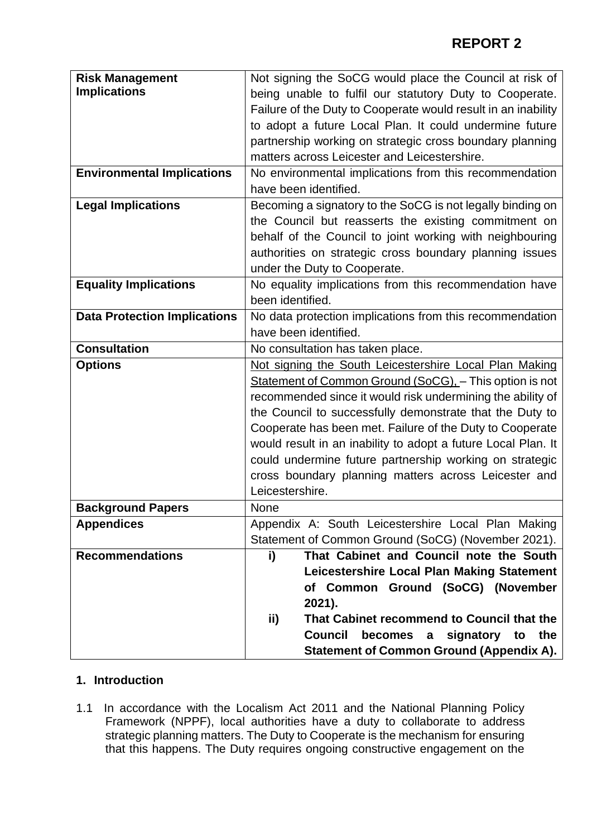| <b>Risk Management</b>              | Not signing the SoCG would place the Council at risk of       |
|-------------------------------------|---------------------------------------------------------------|
| <b>Implications</b>                 | being unable to fulfil our statutory Duty to Cooperate.       |
|                                     | Failure of the Duty to Cooperate would result in an inability |
|                                     | to adopt a future Local Plan. It could undermine future       |
|                                     | partnership working on strategic cross boundary planning      |
|                                     | matters across Leicester and Leicestershire.                  |
|                                     |                                                               |
| <b>Environmental Implications</b>   | No environmental implications from this recommendation        |
|                                     | have been identified.                                         |
| <b>Legal Implications</b>           | Becoming a signatory to the SoCG is not legally binding on    |
|                                     | the Council but reasserts the existing commitment on          |
|                                     | behalf of the Council to joint working with neighbouring      |
|                                     | authorities on strategic cross boundary planning issues       |
|                                     | under the Duty to Cooperate.                                  |
| <b>Equality Implications</b>        | No equality implications from this recommendation have        |
|                                     | been identified.                                              |
| <b>Data Protection Implications</b> | No data protection implications from this recommendation      |
|                                     | have been identified.                                         |
| <b>Consultation</b>                 | No consultation has taken place.                              |
| <b>Options</b>                      | Not signing the South Leicestershire Local Plan Making        |
|                                     | Statement of Common Ground (SoCG), - This option is not       |
|                                     | recommended since it would risk undermining the ability of    |
|                                     | the Council to successfully demonstrate that the Duty to      |
|                                     | Cooperate has been met. Failure of the Duty to Cooperate      |
|                                     | would result in an inability to adopt a future Local Plan. It |
|                                     | could undermine future partnership working on strategic       |
|                                     | cross boundary planning matters across Leicester and          |
|                                     | Leicestershire.                                               |
| <b>Background Papers</b>            | None                                                          |
|                                     |                                                               |
| <b>Appendices</b>                   | Appendix A: South Leicestershire Local Plan Making            |
|                                     | Statement of Common Ground (SoCG) (November 2021).            |
| <b>Recommendations</b>              | That Cabinet and Council note the South<br>i)                 |
|                                     | Leicestershire Local Plan Making Statement                    |
|                                     | of Common Ground (SoCG) (November                             |
|                                     | 2021).                                                        |
|                                     | That Cabinet recommend to Council that the<br>ii)             |
|                                     | <b>Council</b><br>becomes a signatory to the                  |
|                                     | <b>Statement of Common Ground (Appendix A).</b>               |

### **1. Introduction**

1.1 In accordance with the Localism Act 2011 and the National Planning Policy Framework (NPPF), local authorities have a duty to collaborate to address strategic planning matters. The Duty to Cooperate is the mechanism for ensuring that this happens. The Duty requires ongoing constructive engagement on the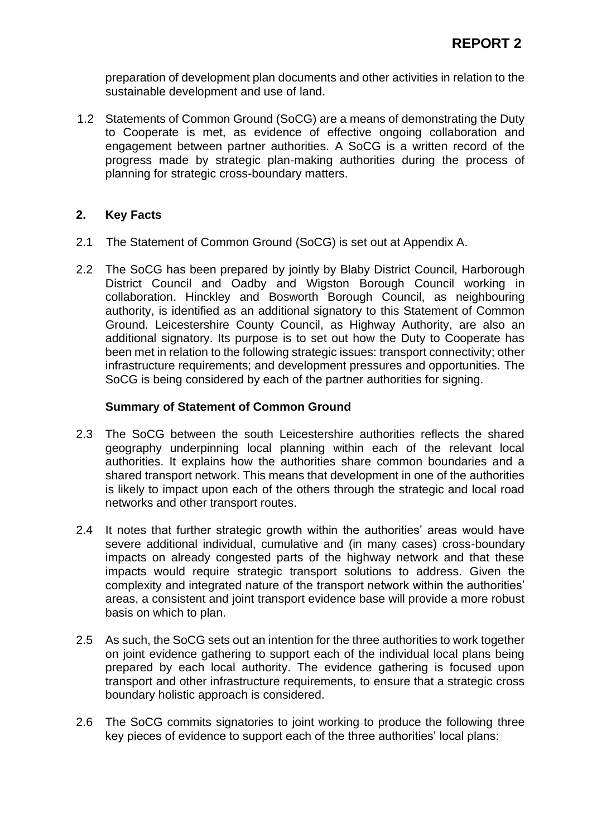preparation of development plan documents and other activities in relation to the sustainable development and use of land.

1.2 Statements of Common Ground (SoCG) are a means of demonstrating the Duty to Cooperate is met, as evidence of effective ongoing collaboration and engagement between partner authorities. A SoCG is a written record of the progress made by strategic plan-making authorities during the process of planning for strategic cross-boundary matters.

### **2. Key Facts**

- 2.1 The Statement of Common Ground (SoCG) is set out at Appendix A.
- 2.2 The SoCG has been prepared by jointly by Blaby District Council, Harborough District Council and Oadby and Wigston Borough Council working in collaboration. Hinckley and Bosworth Borough Council, as neighbouring authority, is identified as an additional signatory to this Statement of Common Ground. Leicestershire County Council, as Highway Authority, are also an additional signatory. Its purpose is to set out how the Duty to Cooperate has been met in relation to the following strategic issues: transport connectivity; other infrastructure requirements; and development pressures and opportunities. The SoCG is being considered by each of the partner authorities for signing.

### **Summary of Statement of Common Ground**

- 2.3 The SoCG between the south Leicestershire authorities reflects the shared geography underpinning local planning within each of the relevant local authorities. It explains how the authorities share common boundaries and a shared transport network. This means that development in one of the authorities is likely to impact upon each of the others through the strategic and local road networks and other transport routes.
- 2.4 It notes that further strategic growth within the authorities' areas would have severe additional individual, cumulative and (in many cases) cross-boundary impacts on already congested parts of the highway network and that these impacts would require strategic transport solutions to address. Given the complexity and integrated nature of the transport network within the authorities' areas, a consistent and joint transport evidence base will provide a more robust basis on which to plan.
- 2.5 As such, the SoCG sets out an intention for the three authorities to work together on joint evidence gathering to support each of the individual local plans being prepared by each local authority. The evidence gathering is focused upon transport and other infrastructure requirements, to ensure that a strategic cross boundary holistic approach is considered.
- 2.6 The SoCG commits signatories to joint working to produce the following three key pieces of evidence to support each of the three authorities' local plans: